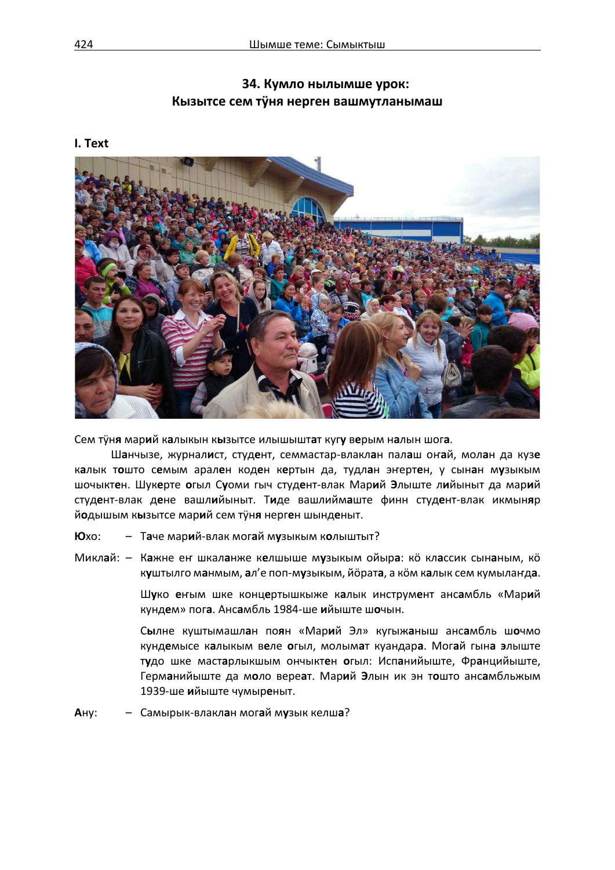# **34. Кумло нылымше урок: Кызытсе сем тӱня нерген вашмутланымаш**

**I. Text**



Сем тӱн**я** мар**и**й к**а**лыкын к**ы**зытсе илышышт**а**т куг**у** в**е**рым н**а**лын шог**а**.

Ш**а**нчызе, журнал**и**ст, студ**е**нт, семмастар-влакл**а**н пал**а**ш оҥ**а**й, мол**а**н да куз**е** к**а**лык т**о**што с**е**мым арал**е**н код**е**н к**е**ртын да, тудл**а**н эҥерт**е**н, у сын**а**н м**у**зыкым шочыкт**е**н. Шук**е**рте **о**гыл С**у**оми гыч студ**е**нт-влак Мар**и**й **Э**лыште л**и**йыныт да мар**и**й студ**е**нт-влак д**е**не вашл**и**йыныт. Т**и**де вашлийм**а**ште финн студ**е**нт-влак икмын**я**р й**о**дышым к**ы**зытсе мар**и**й сем тӱн**я** нерг**е**н шынд**е**ныт.

**Ю**хо: – Т**а**че мар**и**й-влак мог**а**й м**у**зыкым к**о**лыштыт?

Микл**а**й: – К**а**жне еҥ шкал**а**нже к**е**лшыше м**у**зыкым ойыр**а**: кӧ кл**а**ссик сын**а**ным, кӧ к**у**штылго м**а**нмым, **а**л'е поп-м**у**зыкым, йӧрат**а**, а кӧм к**а**лык сем кумылаҥд**а**.

> Ш**у**ко **е**ҥым шке конц**е**ртышкыже к**а**лык инструм**е**нт анс**а**мбль «Мар**и**й кунд**е**м» пог**а**. Анс**а**мбль 1984-ше **и**йыште ш**о**чын.

> С**ы**лне куштымашл**а**н по**я**н «Мар**и**й Эл» кугыж**а**ныш анс**а**мбль ш**о**чмо кунд**е**мысе к**а**лыкым в**е**ле **о**гыл, молым**а**т куандар**а**. Мог**а**й гын**а э**лыште т**у**до шке маст**а**рлыкшым ончыкт**е**н **о**гыл: Исп**а**нийыште, Фр**а**нцийыште, Герм**а**нийыште да м**о**ло вере**а**т. Мар**и**й **Э**лын ик эн т**о**што анс**а**мбльжым 1939-ше **и**йыште чумыр**е**ныт.

**А**ну: – Самырык-влакл**а**н мог**а**й м**у**зык келш**а**?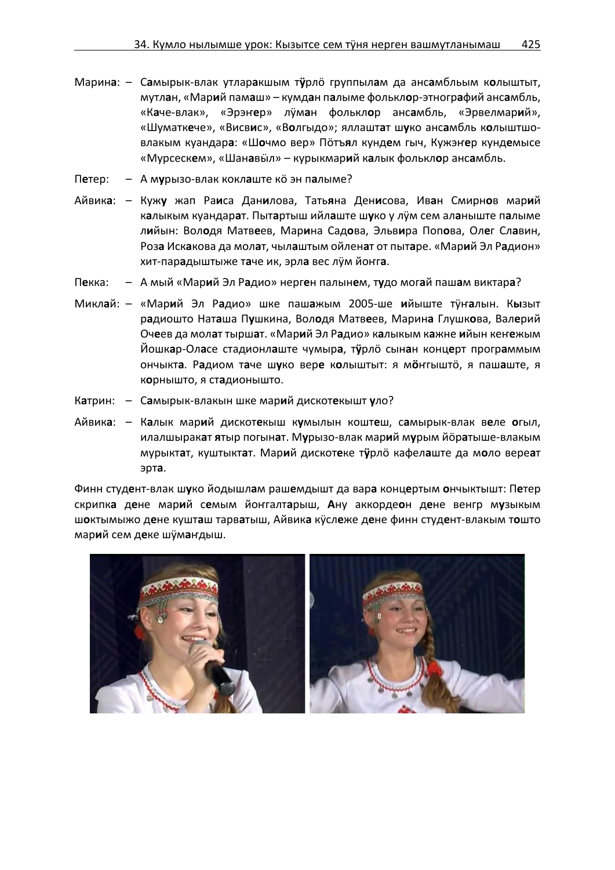- Марин**а**: С**а**мырык-влак утлар**а**кшым т**ӱ**рлӧ группыл**а**м да анс**а**мбльым к**о**лыштыт, мутл**а**н, «Мар**и**й пам**а**ш» – кумд**а**н п**а**лыме фолькл**о**р-этногр**а**фий анс**а**мбль, «К**а**че-влак», «Эрэҥ**е**р» лӱм**а**н фолькл**о**р анс**а**мбль, «Эрвелмар**и**й», «Шуматк**е**че», «Висв**и**с», «В**о**лгыдо»; яллашт**а**т ш**у**ко анс**а**мбль к**о**лыштшовлакым куандар**а**: «Ш**о**чмо вер» Пӧтъ**я**л кунд**е**м гыч, Кужэҥ**е**р кунд**е**мысе «Мурсеск**е**м», «Шан**а**вӹл» – курыкмар**и**й к**а**лык фолькл**о**р анс**а**мбль.
- П**е**тер: А м**у**рызо-влак кокл**а**ште кӧ эн п**а**лыме?
- Айвик**а**: Куж**у** жап Ра**и**са Дан**и**лова, Тать**я**на Ден**и**сова, Ив**а**н Смирн**о**в мар**и**й к**а**лыкым куандар**а**т. Пыт**а**ртыш ийл**а**ште ш**у**ко у лӱм сем ал**а**ныште п**а**лыме л**и**йын: Вол**о**дя Матв**е**ев, Мар**и**на Сад**о**ва, Эльв**и**ра Поп**о**ва, Ол**е**г Сл**а**вин, Роз**а** Иск**а**кова да мол**а**т, чыл**а**штым ойлен**а**т от пыт**а**ре. «Мар**и**й Эл Р**а**дион» хит-пар**а**дыштыже т**а**че ик, эрл**а** вес лӱм йоҥг**а**.
- П**е**кка: А мый «Мар**и**й Эл Р**а**дио» нерг**е**н палын**е**м, т**у**до мог**а**й паш**а**м виктар**а**?
- Микл**а**й: «Мар**и**й Эл Р**а**дио» шке паш**а**жым 2005-ше **и**йыште тӱҥ**а**лын. К**ы**зыт р**а**диошто Нат**а**ша П**у**шкина, Вол**о**дя Матв**е**ев, Марин**а** Глушк**о**ва, Вал**е**рий Оч**е**ев да мол**а**т тырш**а**т. «Мар**и**й Эл Р**а**дио» к**а**лыкым к**а**жне **и**йын кеҥ**е**жым Йошк**а**р-Ол**а**се стадионл**а**ште чумыр**а**, т**ӱ**рлӧ сын**а**н конц**е**рт прогр**а**ммым ончыкт**а**. Р**а**диом т**а**че ш**у**ко вер**е** к**о**лыштыт: я м**ӧ**ҥгыштӧ, я паш**а**ште, я к**о**рнышто, я ст**а**дионышто.
- К**а**трин: С**а**мырык-влакын шке мар**и**й дискот**е**кышт **у**ло?
- Айвик**а**: К**а**лык мар**и**й дискот**е**кыш к**у**мылын кошт**е**ш, с**а**мырык-влак в**е**ле **о**гыл, илалшырак**а**т **я**тыр погын**а**т. М**у**рызо-влак мар**и**й м**у**рым йӧр**а**тыше-влакым мурыкт**а**т, куштыкт**а**т. Мар**и**й дискот**е**ке т**ӱ**рлӧ кафел**а**ште да м**о**ло вере**а**т эрт**а**.

Финн студ**е**нт-влак ш**у**ко йодышл**а**м раш**е**мдышт да вар**а** конц**е**ртым **о**нчыктышт: П**е**тер скрипк**а** д**е**не мар**и**й с**е**мым йоҥгалт**а**рыш, **А**ну аккорде**о**н д**е**не венгр м**у**зыкым ш**о**ктымыжо д**е**не кушт**а**ш тарв**а**тыш, Айвик**а** кӱсл**е**же д**е**не финн студ**е**нт-влакым т**о**што мар**и**й сем д**е**ке шӱм**а**ҥдыш.

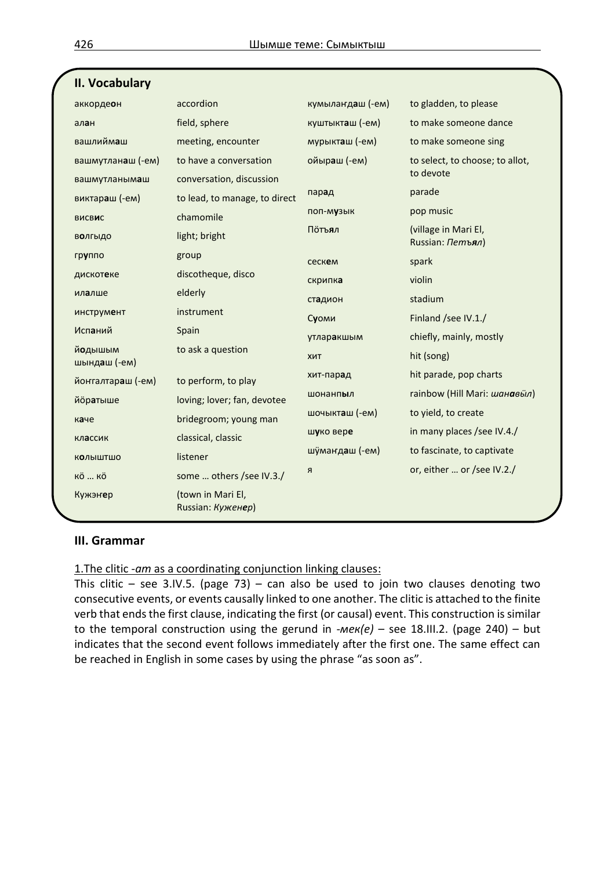| , , , , , , , , , ,     |                                        |                  |                                              |
|-------------------------|----------------------------------------|------------------|----------------------------------------------|
| аккордеон               | accordion                              | кумыландаш (-ем) | to gladden, to please                        |
| алан                    | field, sphere                          | куштыкташ (-ем)  | to make someone dance                        |
| вашлиймаш               | meeting, encounter                     | мурыкташ (-ем)   | to make someone sing                         |
| вашмутланаш (-ем)       | to have a conversation                 | ойыраш (-ем)     | to select, to choose; to allot,<br>to devote |
| вашмутланымаш           | conversation, discussion               |                  |                                              |
| виктараш (-ем)          | to lead, to manage, to direct          | парад            | parade                                       |
| <b>ВИСВИС</b>           | chamomile                              | поп-музык        | pop music                                    |
| <b>ВОЛГЫДО</b>          | light; bright                          | Потъял           | (village in Mari El,<br>Russian: Петъял)     |
| группо                  | group                                  | сескем           | spark                                        |
| дискотеке               | discotheque, disco                     | скрипка          | violin                                       |
| илалше                  | elderly                                | стадион          | stadium                                      |
| инструмент              | instrument                             | Суоми            | Finland /see IV.1./                          |
| Испаний                 | Spain                                  | утларакшым       | chiefly, mainly, mostly                      |
| йодышым<br>шындаш (-ем) | to ask a question                      | ХИТ              | hit (song)                                   |
| йонгалтараш (-ем)       | to perform, to play                    | хит-парад        | hit parade, pop charts                       |
| йоратыше                | loving; lover; fan, devotee            | шонанпыл         | rainbow (Hill Mari: шанавыл)                 |
| каче                    | bridegroom; young man                  | шочыкташ (-ем)   | to yield, to create                          |
| классик                 | classical, classic                     | шуко вере        | in many places /see IV.4./                   |
| <b>КОЛЬІШТШО</b>        | listener                               | шўмандаш (-ем)   | to fascinate, to captivate                   |
| <b>KÖ  KÖ</b>           | some  others /see IV.3./               | Я                | or, either  or /see IV.2./                   |
| Кужэнер                 | (town in Mari El,<br>Russian: Куженер) |                  |                                              |

# **II. Vocabulary**

# **III. Grammar**

1.The clitic -*ат* as a coordinating conjunction linking clauses:

This clitic – see 3.IV.5. (page 73) – can also be used to join two clauses denoting two consecutive events, or events causally linked to one another. The clitic is attached to the finite verb that ends the first clause, indicating the first (or causal) event. This construction is similar to the temporal construction using the gerund in -*мек(е)* – see 18.III.2. (page 240) – but indicates that the second event follows immediately after the first one. The same effect can be reached in English in some cases by using the phrase "as soon as".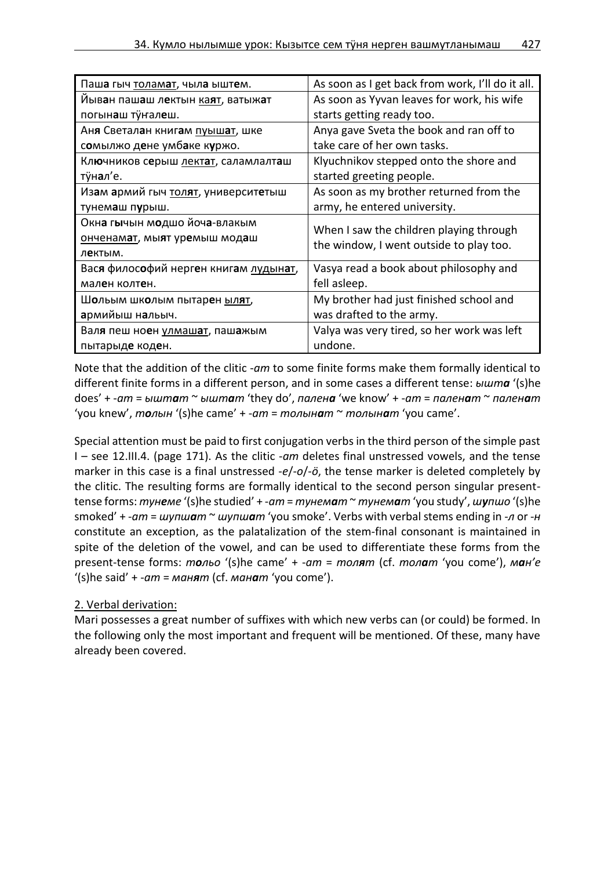| Паш <b>а</b> гыч <u>толам<b>а</b>т</u> , чыл <b>а</b> ышт <b>е</b> м.   | As soon as I get back from work, I'll do it all. |
|-------------------------------------------------------------------------|--------------------------------------------------|
| Иыван пашаш лектын каят, ватыжат                                        | As soon as Yyvan leaves for work, his wife       |
| погынаш туналеш.                                                        | starts getting ready too.                        |
| Аня Светалан книгам пуышат, шке                                         | Anya gave Sveta the book and ran off to          |
| сомылжо дене умбаке куржо.                                              | take care of her own tasks.                      |
| Кл <b>ю</b> чников серыш <u>лектат</u> , саламлалташ                    | Klyuchnikov stepped onto the shore and           |
| тÿнал'е.                                                                | started greeting people.                         |
| Изам армий гыч толят, университетыш                                     | As soon as my brother returned from the          |
| тунемаш пурыш.                                                          | army, he entered university.                     |
| Окна гычын модшо йоча-влакым                                            | When I saw the children playing through          |
| онченамат, мыят уремыш модаш                                            | the window, I went outside to play too.          |
| лектым.                                                                 |                                                  |
| Вася философий нерген книгам лудынат,                                   | Vasya read a book about philosophy and           |
| мален колтен.                                                           | fell asleep.                                     |
| Шольым школым пытарен ылят,                                             | My brother had just finished school and          |
| армийыш нальыч.                                                         | was drafted to the army.                         |
| Вал <b>я</b> пеш но <b>е</b> н <u>улмаш<b>а</b>т</u> , паш <b>а</b> жым | Valya was very tired, so her work was left       |
| пытарыде коден.                                                         | undone.                                          |

Note that the addition of the clitic -*ат* to some finite forms make them formally identical to different finite forms in a different person, and in some cases a different tense: *ышта* '(s)he does' + -*ат* = *ыштат* ~ *ыштат* 'they do', *палена* 'we know' + -*ат* = *паленат* ~ *паленат* 'you knew', *толын* '(s)he came' + -*ат* = *толынат* ~ *толынат* 'you came'.

Special attention must be paid to first conjugation verbs in the third person of the simple past I – see 12.III.4. (page 171). As the clitic -*ат* deletes final unstressed vowels, and the tense marker in this case is a final unstressed -*е*/-*о*/-*ӧ*, the tense marker is deleted completely by the clitic. The resulting forms are formally identical to the second person singular presenttense forms: *тунеме* '(s)he studied' + -*ат* = *тунемат* ~ *тунемат* 'you study', *шупшо* '(s)he smoked' + -*ат* = *шупшат* ~ *шупшат* 'you smoke'. Verbs with verbal stems ending in -*л* or -*н* constitute an exception, as the palatalization of the stem-final consonant is maintained in spite of the deletion of the vowel, and can be used to differentiate these forms from the present-tense forms: *тольо* '(s)he came' + -*ат* = *толят* (cf. *толат* 'you come'), *ман'е* '(s)he said' + -*ат* = *манят* (cf. *манат* 'you come').

## 2. Verbal derivation:

Mari possesses a great number of suffixes with which new verbs can (or could) be formed. In the following only the most important and frequent will be mentioned. Of these, many have already been covered.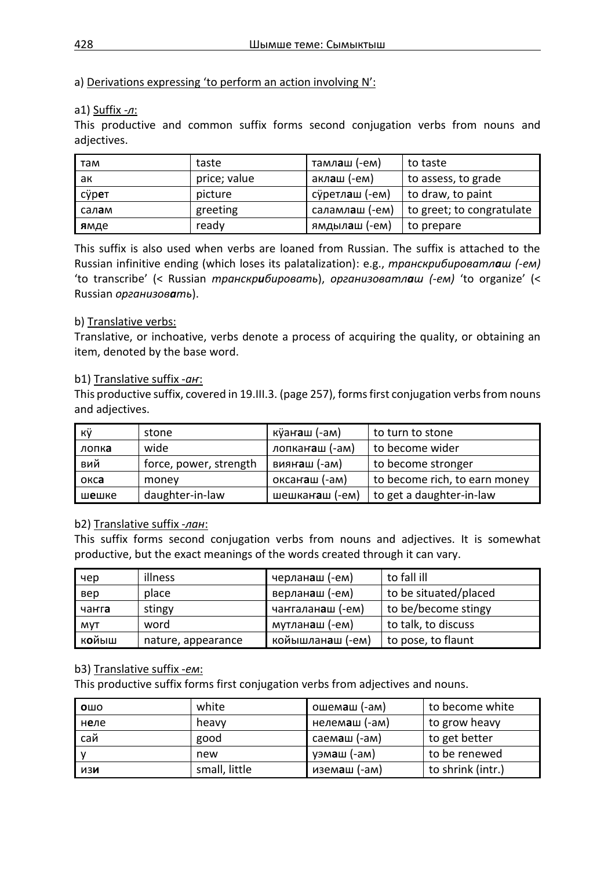## a) Derivations expressing 'to perform an action involving N':

## a1) Suffix -*л*:

This productive and common suffix forms second conjugation verbs from nouns and adjectives.

| там   | taste        | тамл <b>а</b> ш (-ем) | to taste                  |
|-------|--------------|-----------------------|---------------------------|
| ак    | price; value | акл <b>а</b> ш (-ем)  | to assess, to grade       |
| сурет | picture      | сўретлаш (-ем)        | to draw, to paint         |
| салам | greeting     | саламлаш (-ем)        | to greet; to congratulate |
| ямде  | ready        | ямдылаш (-ем)         | to prepare                |

This suffix is also used when verbs are loaned from Russian. The suffix is attached to the Russian infinitive ending (which loses its palatalization): e.g., *транскрибироватлаш (-ем)* 'to transcribe' (< Russian *транскрибировать*), *организоватлаш (-ем)* 'to organize' (< Russian *организовать*).

## b) Translative verbs:

Translative, or inchoative, verbs denote a process of acquiring the quality, or obtaining an item, denoted by the base word.

## b1) Translative suffix -*аҥ*:

This productive suffix, covered in 19.III.3. (page 257), forms first conjugation verbs from nouns and adjectives.

| . кÿ  | stone                  | кÿанаш (-ам)   | to turn to stone              |
|-------|------------------------|----------------|-------------------------------|
| лопка | wide                   | лопканаш (-ам) | to become wider               |
| вий   | force, power, strength | виянаш (-ам)   | to become stronger            |
| окса  | money                  | оксанаш (-ам)  | to become rich, to earn money |
| шешке | daughter-in-law        | шешканаш (-ем) | to get a daughter-in-law      |

### b2) Translative suffix -*лан*:

This suffix forms second conjugation verbs from nouns and adjectives. It is somewhat productive, but the exact meanings of the words created through it can vary.

| чер            | illness            | черланаш (-ем)   | to fall ill           |
|----------------|--------------------|------------------|-----------------------|
| вер            | place              | верланаш (-ем)   | to be situated/placed |
| чанга          | stingy             | чангаланаш (-ем) | to be/become stingy   |
| <b>MVT</b>     | word               | мутланаш (-ем)   | to talk, to discuss   |
| к <b>о</b> йыш | nature, appearance | койышланаш (-ем) | to pose, to flaunt    |

## b3) Translative suffix -*ем*:

This productive suffix forms first conjugation verbs from adjectives and nouns.

| O <sub>U</sub> | white         | ошемаш (-ам)  | to become white   |
|----------------|---------------|---------------|-------------------|
| неле           | heavy         | нелемаш (-ам) | to grow heavy     |
| сай            | good          | саемаш (-ам)  | to get better     |
|                | new           | уэмаш (-ам)   | to be renewed     |
| изи            | small, little | иземаш (-ам)  | to shrink (intr.) |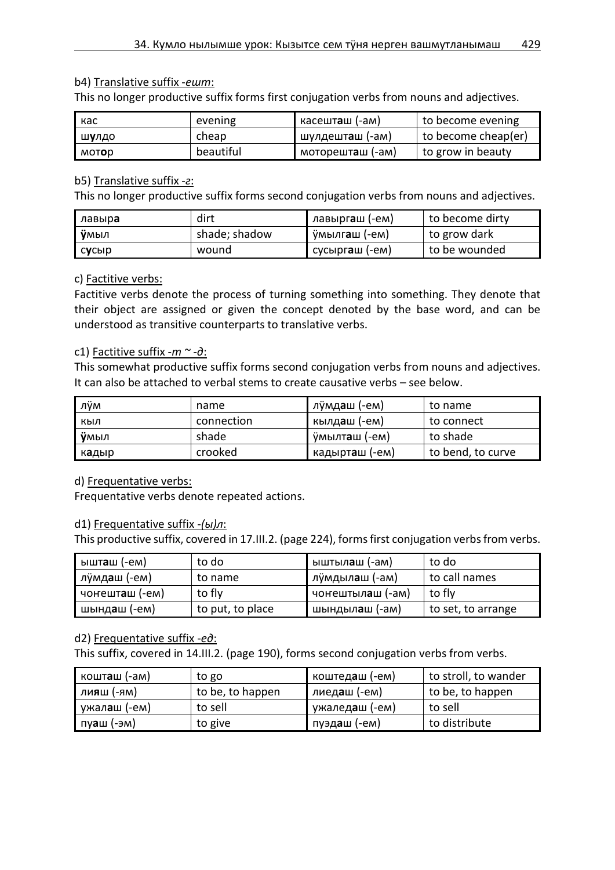### b4) Translative suffix -*ешт*:

This no longer productive suffix forms first conjugation verbs from nouns and adjectives.

| кас   | evening   | касешт <b>а</b> ш (-ам)  | to become evening     |
|-------|-----------|--------------------------|-----------------------|
| шулдо | cheap     | шулдешт <b>а</b> ш (-ам) | I to become cheap(er) |
| мотор | beautiful | моторешташ (-ам)         | to grow in beauty     |

## b5) Translative suffix -*г*:

This no longer productive suffix forms second conjugation verbs from nouns and adjectives.

| лавыра       | dirt          | лавырг <b>а</b> ш (-ем) | to become dirty |
|--------------|---------------|-------------------------|-----------------|
| <b>Ÿ</b> МЫЛ | shade; shadow | ўмылгаш (-ем)           | to grow dark    |
| сусыр        | wound         | сусыргаш (-ем)          | to be wounded   |

## c) Factitive verbs:

Factitive verbs denote the process of turning something into something. They denote that their object are assigned or given the concept denoted by the base word, and can be understood as transitive counterparts to translative verbs.

## c1) Factitive suffix -*т ~ -д*:

This somewhat productive suffix forms second conjugation verbs from nouns and adjectives. It can also be attached to verbal stems to create causative verbs – see below.

| лÿм   | name       | лÿмд <b>а</b> ш (-ем)  | to name           |
|-------|------------|------------------------|-------------------|
| кыл   | connection | кылд <b>а</b> ш (-ем)  | to connect        |
| ӱмыл  | shade      | ўмылт <b>а</b> ш (-ем) | to shade          |
| кадыр | crooked    | кадырташ (-ем)         | to bend, to curve |

## d) Frequentative verbs:

Frequentative verbs denote repeated actions.

## d1) Frequentative suffix -*(ы)л*:

This productive suffix, covered in 17.III.2. (page 224), forms first conjugation verbs from verbs.

| ышташ (-ем)             | to do            | ыштыл <b>а</b> ш (-ам)  | to do              |
|-------------------------|------------------|-------------------------|--------------------|
| , лÿмд <b>а</b> ш (-ем) | to name          | лўмдыл <b>а</b> ш (-ам) | to call names      |
| чонешташ (-ем)          | to fly           | чонештылаш (-ам)        | to fly             |
| шындаш (-ем)            | to put, to place | шындылаш (-ам)          | to set, to arrange |

### d2) Frequentative suffix -*ед*:

This suffix, covered in 14.III.2. (page 190), forms second conjugation verbs from verbs.

| кошташ (-ам)          | to go            | коштедаш (-ем)        | to stroll, to wander |
|-----------------------|------------------|-----------------------|----------------------|
| лияш (-ям)            | to be, to happen | лиед <b>а</b> ш (-ем) | to be, to happen     |
| ужал <b>а</b> ш (-ем) | to sell          | ужаледаш (-ем)        | to sell              |
| пуаш (-эм)            | to give          | пуэд <b>а</b> ш (-ем) | to distribute        |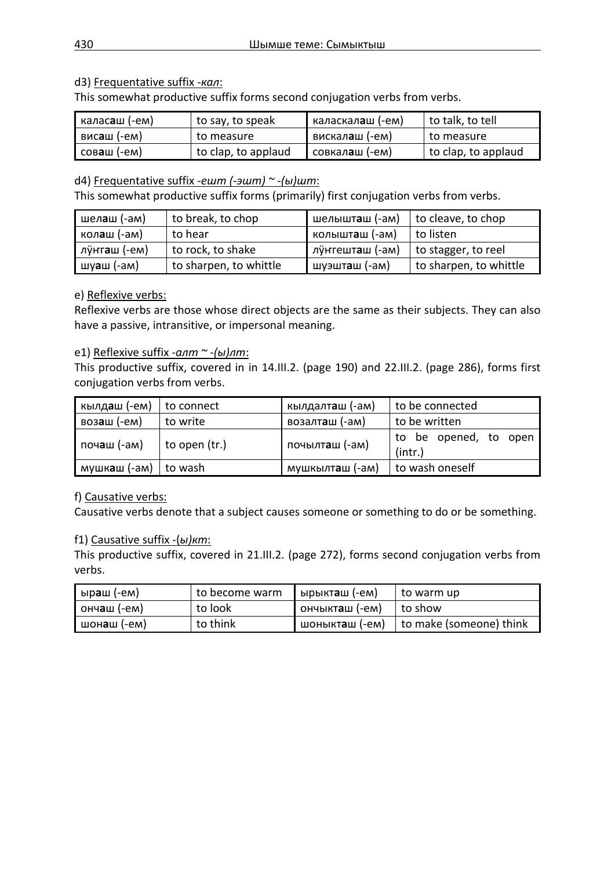## d3) Frequentative suffix -*кал*:

This somewhat productive suffix forms second conjugation verbs from verbs.

| калас <b>а</b> ш (-ем) | to say, to speak    | каласкал <b>а</b> ш (-ем) | to talk, to tell    |
|------------------------|---------------------|---------------------------|---------------------|
| вис <b>а</b> ш (-ем)   | to measure          | вискал <b>а</b> ш (-ем)   | l to measure        |
| соваш (-ем)            | to clap, to applaud | совкалаш (-ем)            | to clap, to applaud |

## d4) Frequentative suffix -*ешт (-эшт) ~ -(ы)шт*:

This somewhat productive suffix forms (primarily) first conjugation verbs from verbs.

| шелаш (-ам)  | to break, to chop      | шелышташ (-ам)  | to cleave, to chop     |
|--------------|------------------------|-----------------|------------------------|
| колаш (-ам)  | to hear                | колышташ (-ам)  | to listen              |
| лўнгаш (-ем) | to rock, to shake      | лўнгешташ (-ам) | to stagger, to reel    |
| шуаш (-ам)   | to sharpen, to whittle | шуэшташ (-ам)   | to sharpen, to whittle |

## e) Reflexive verbs:

Reflexive verbs are those whose direct objects are the same as their subjects. They can also have a passive, intransitive, or impersonal meaning.

## e1) Reflexive suffix -*алт ~ -(ы)лт*:

This productive suffix, covered in in 14.III.2. (page 190) and 22.III.2. (page 286), forms first conjugation verbs from verbs.

| " кылд <b>а</b> ш (-ем) | to connect    | кылдалташ (-ам) | to be connected                    |
|-------------------------|---------------|-----------------|------------------------------------|
| возаш (-ем)             | to write      | возалташ (-ам)  | to be written                      |
| почаш (-ам)             | to open (tr.) | почылташ (-ам)  | opened, to open<br>to be<br>(int.) |
| I мушкаш (-ам)          | to wash       | мушкылташ (-ам) | to wash oneself                    |

### f) Causative verbs:

Causative verbs denote that a subject causes someone or something to do or be something.

### f1) Causative suffix -(*ы)кт*:

This productive suffix, covered in 21.III.2. (page 272), forms second conjugation verbs from verbs.

| ыраш (-ем)  | to become warm | ырыкташ (-ем)           | to warm up              |
|-------------|----------------|-------------------------|-------------------------|
| ончаш (-ем) | to look        | ончыкт <b>а</b> ш (-ем) | ∣to show                |
| шонаш (-ем) | to think       | шоныкт <b>а</b> ш (-ем) | to make (someone) think |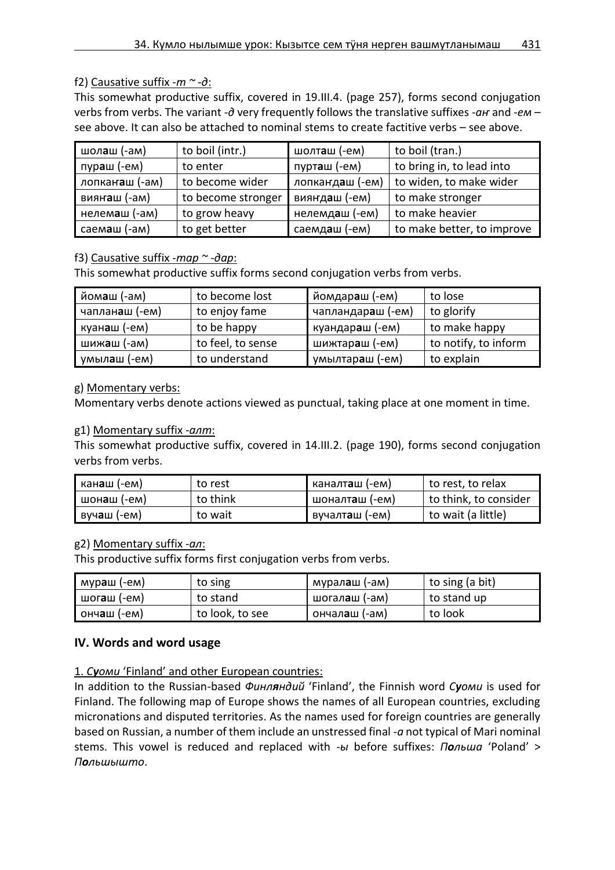## f2) Causative suffix *-т ~ -д*:

This somewhat productive suffix, covered in 19.III.4. (page 257), forms second conjugation verbs from verbs. The variant -*д* very frequently follows the translative suffixes -*аҥ* and -*ем* – see above. It can also be attached to nominal stems to create factitive verbs – see above.

| шолаш (-ам)    | to boil (intr.)    | шолташ (-ем)           | to boil (tran.)            |
|----------------|--------------------|------------------------|----------------------------|
| пураш (-ем)    | to enter           | пурташ (-ем)           | to bring in, to lead into  |
| лопканаш (-ам) | to become wider    | лопкандаш (-ем)        | to widen, to make wider    |
| виянаш (-ам)   | to become stronger | виянд <b>а</b> ш (-ем) | to make stronger           |
| нелемаш (-ам)  | to grow heavy      | нелемдаш (-ем)         | to make heavier            |
| саемаш (-ам)   | to get better      | саемдаш (-ем)          | to make better, to improve |

f3) Causative suffix *-тар ~ -дар*:

This somewhat productive suffix forms second conjugation verbs from verbs.

| йомаш (-ам)    | to become lost    | йомдараш (-ем)    | to lose              |
|----------------|-------------------|-------------------|----------------------|
| чапланаш (-ем) | to enjoy fame     | чапландараш (-ем) | to glorify           |
| куанаш (-ем)   | to be happy       | куандараш (-ем)   | to make happy        |
| шижаш (-ам)    | to feel, to sense | шижтараш (-ем)    | to notify, to inform |
| үмылаш (-ем)   | to understand     | умылтараш (-ем)   | to explain           |

### g) Momentary verbs:

Momentary verbs denote actions viewed as punctual, taking place at one moment in time.

#### g1) Momentary suffix -*алт*:

This somewhat productive suffix, covered in 14.III.2. (page 190), forms second conjugation verbs from verbs.

| кан <b>а</b> ш (-ем) | to rest  | каналт <b>а</b> ш (-ем) | to rest, to relax     |
|----------------------|----------|-------------------------|-----------------------|
| шонаш (-ем)          | to think | шоналт <b>а</b> ш (-ем) | to think, to consider |
| вучаш (-ем)          | to wait  | вучалт <b>а</b> ш (-ем) | to wait (a little)    |

### g2) Momentary suffix -*ал*:

This productive suffix forms first conjugation verbs from verbs.

| мураш (-ем)          | to sing         | мурал <b>а</b> ш (-ам) | to sing (a bit) |
|----------------------|-----------------|------------------------|-----------------|
| шог <b>а</b> ш (-ем) | to stand        | шогал <b>а</b> ш (-ам) | to stand up     |
| ончаш (-ем)          | to look, to see | ончалаш (-ам)          | to look         |

### **IV. Words and word usage**

### 1. *Суоми* 'Finland' and other European countries:

In addition to the Russian-based *Финляндий* 'Finland', the Finnish word *Суоми* is used for Finland. The following map of Europe shows the names of all European countries, excluding micronations and disputed territories. As the names used for foreign countries are generally based on Russian, a number of them include an unstressed final -*а* not typical of Mari nominal stems. This vowel is reduced and replaced with -*ы* before suffixes: *Польша* 'Poland' > *Польшышто*.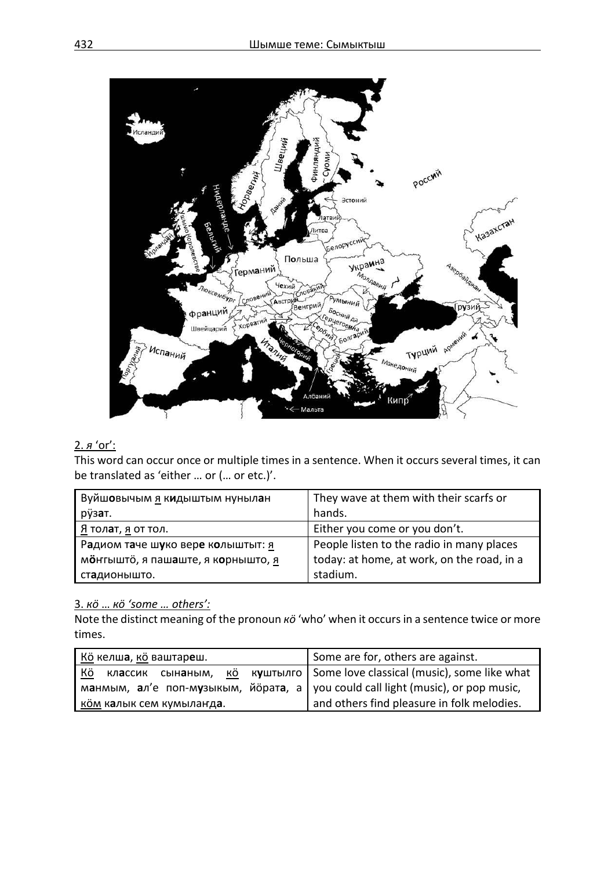

## 2. *я* 'or':

This word can occur once or multiple times in a sentence. When it occurs several times, it can be translated as 'either … or (… or etc.)'.

| Вуйшовычым я кидыштым нунылан               | They wave at them with their scarfs or     |
|---------------------------------------------|--------------------------------------------|
| рўзат.                                      | hands.                                     |
| <u>Я</u> тол <b>а</b> т, <u>я</u> от тол.   | Either you come or you don't.              |
| Радиом таче шуко вере колыштыт: я           | People listen to the radio in many places  |
| м <b>онгышто</b> , я пашаште, я корнышто, я | today: at home, at work, on the road, in a |
| стадионышто.                                | stadium.                                   |

### 3. *кӧ* … *кӧ 'some … others':*

Note the distinct meaning of the pronoun *кӧ* 'who' when it occurs in a sentence twice or more times.

| Ко келша, ко ваштареш.                                                            | Some are for, others are against.          |  |
|-----------------------------------------------------------------------------------|--------------------------------------------|--|
| Ко классик сынаным, ко куштылго Some love classical (music), some like what       |                                            |  |
| манмым, ал'е поп-музыкым, йората, a   you could call light (music), or pop music, |                                            |  |
| ком калык сем кумыланда.                                                          | and others find pleasure in folk melodies. |  |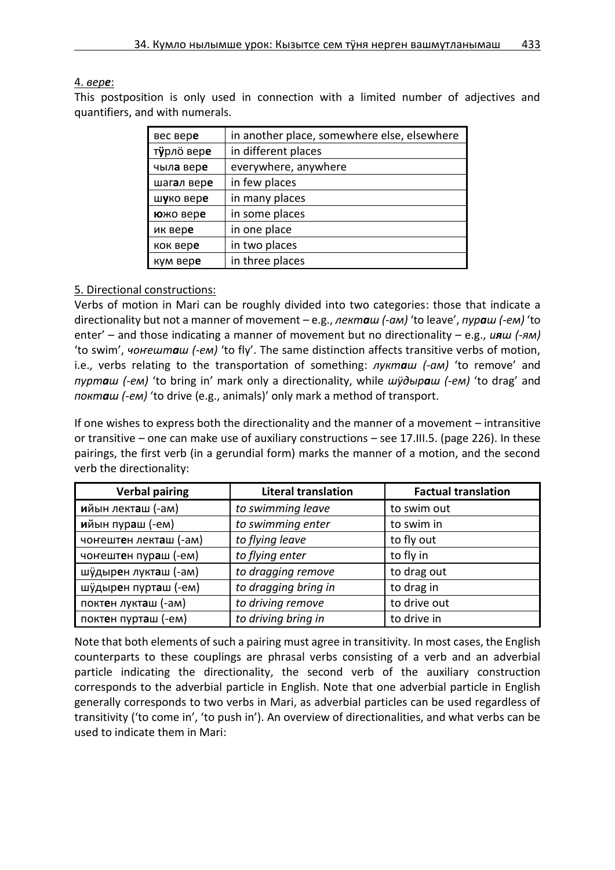#### 4. *вере*:

This postposition is only used in connection with a limited number of adjectives and quantifiers, and with numerals.

| вес вере   | in another place, somewhere else, elsewhere |
|------------|---------------------------------------------|
| тўрло вере | in different places                         |
| чыла вере  | everywhere, anywhere                        |
| шагал вере | in few places                               |
| шуко вере  | in many places                              |
| южо вере   | in some places                              |
| ик вере    | in one place                                |
| кок вере   | in two places                               |
| кум вере   | in three places                             |

### 5. Directional constructions:

Verbs of motion in Mari can be roughly divided into two categories: those that indicate a directionality but not a manner of movement – e.g., *лекташ (-ам)* 'to leave', *пураш (-ем)* 'to enter' – and those indicating a manner of movement but no directionality – e.g., *ияш (-ям)* 'to swim', *чоҥешташ (-ем)* 'to fly'. The same distinction affects transitive verbs of motion, i.e., verbs relating to the transportation of something: *лукташ (-ам)* 'to remove' and *пурташ (-ем)* 'to bring in' mark only a directionality, while *шӱдыраш (-ем)* 'to drag' and *покташ (-ем)* 'to drive (e.g., animals)' only mark a method of transport.

If one wishes to express both the directionality and the manner of a movement – intransitive or transitive – one can make use of auxiliary constructions – see 17.III.5. (page 226). In these pairings, the first verb (in a gerundial form) marks the manner of a motion, and the second verb the directionality:

| <b>Verbal pairing</b> | <b>Literal translation</b> | <b>Factual translation</b> |
|-----------------------|----------------------------|----------------------------|
| ийын лекташ (-ам)     | to swimming leave          | to swim out                |
| ийын пураш (-ем)      | to swimming enter          | to swim in                 |
| чонештен лекташ (-ам) | to flying leave            | to fly out                 |
| чонештен пураш (-ем)  | to flying enter            | to fly in                  |
| шўдырен лукташ (-ам)  | to dragging remove         | to drag out                |
| шўдырен пурташ (-ем)  | to dragging bring in       | to drag in                 |
| поктен лукташ (-ам)   | to driving remove          | to drive out               |
| поктен пурташ (-ем)   | to driving bring in        | to drive in                |

Note that both elements of such a pairing must agree in transitivity. In most cases, the English counterparts to these couplings are phrasal verbs consisting of a verb and an adverbial particle indicating the directionality, the second verb of the auxiliary construction corresponds to the adverbial particle in English. Note that one adverbial particle in English generally corresponds to two verbs in Mari, as adverbial particles can be used regardless of transitivity ('to come in', 'to push in'). An overview of directionalities, and what verbs can be used to indicate them in Mari: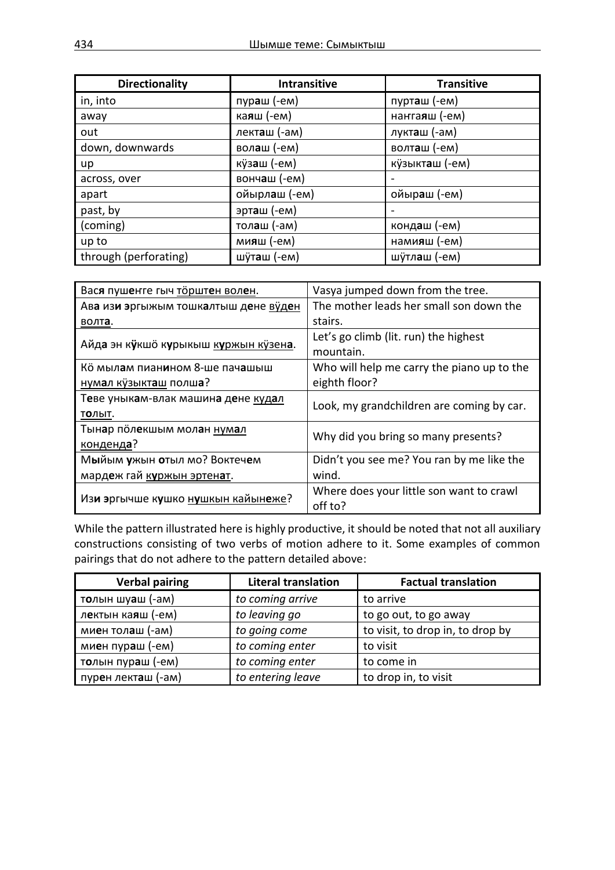| <b>Directionality</b> | <b>Intransitive</b> | <b>Transitive</b> |
|-----------------------|---------------------|-------------------|
| in, into              | пураш (-ем)         | пурташ (-ем)      |
| away                  | каяш (-ем)          | нангаяш (-ем)     |
| out                   | лекташ (-ам)        | лукташ (-ам)      |
| down, downwards       | волаш (-ем)         | волташ (-ем)      |
| up                    | кўзаш (-ем)         | кўзыкташ (-ем)    |
| across, over          | вончаш (-ем)        |                   |
| apart                 | ойырлаш (-ем)       | ойыраш (-ем)      |
| past, by              | эрташ (-ем)         |                   |
| (coming)              | толаш (-ам)         | кондаш (-ем)      |
| up to                 | мияш (-ем)          | намияш (-ем)      |
| through (perforating) | шўташ (-ем)         | шўтлаш (-ем)      |

| Вася пушенге гыч торштен волен.      | Vasya jumped down from the tree.           |  |
|--------------------------------------|--------------------------------------------|--|
| Ава изи эргыжым тошкалтыш дене вўден | The mother leads her small son down the    |  |
| волта.                               | stairs.                                    |  |
|                                      | Let's go climb (lit. run) the highest      |  |
| Айда эн кукшо курыкыш куржын кузена. | mountain.                                  |  |
| Ко мылам пианином 8-ше пачашыш       | Who will help me carry the piano up to the |  |
| нумал кузыкташ полша?                | eighth floor?                              |  |
| Теве уныкам-влак машина дене кудал   | Look, my grandchildren are coming by car.  |  |
| толыт.                               |                                            |  |
| Тынар полекшым молан нумал           | Why did you bring so many presents?        |  |
| конденда?                            |                                            |  |
| Мыйым ужын отыл мо? Воктечем         | Didn't you see me? You ran by me like the  |  |
| мардеж гай куржын эртенат.           | wind.                                      |  |
| Изи эргычше кушко нушкын кайынеже?   | Where does your little son want to crawl   |  |
|                                      | off to?                                    |  |

While the pattern illustrated here is highly productive, it should be noted that not all auxiliary constructions consisting of two verbs of motion adhere to it. Some examples of common pairings that do not adhere to the pattern detailed above:

| <b>Verbal pairing</b>              | <b>Literal translation</b> | <b>Factual translation</b>       |  |
|------------------------------------|----------------------------|----------------------------------|--|
| толын шуаш (-ам)                   | to coming arrive           | to arrive                        |  |
| to leaving go<br>лектын каяш (-ем) |                            | to go out, to go away            |  |
| миен толаш (-ам)                   | to going come              | to visit, to drop in, to drop by |  |
| миен пураш (-ем)                   | to coming enter            | to visit                         |  |
| толын пураш (-ем)                  | to coming enter            | to come in                       |  |
| пурен лекташ (-ам)                 | to entering leave          | to drop in, to visit             |  |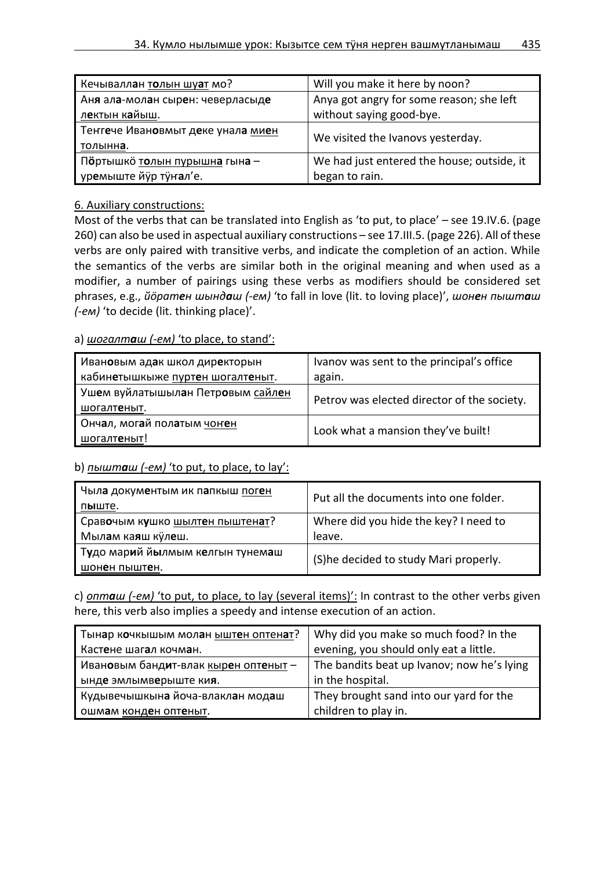| Кечываллан толын шуат мо?                 | Will you make it here by noon?             |  |
|-------------------------------------------|--------------------------------------------|--|
| Аня ала-молан сырен: чеверласыде          | Anya got angry for some reason; she left   |  |
| лектын кайыш.                             | without saying good-bye.                   |  |
| Тенгече Ивановмыт деке унала миен         | We visited the Ivanovs yesterday.          |  |
| толынна.                                  |                                            |  |
| П <b>ö</b> ртышкö толын пурышна гына –    | We had just entered the house; outside, it |  |
| ' ур <b>е</b> мыште йўр тўн <b>а</b> л'е. | began to rain.                             |  |

### 6. Auxiliary constructions:

Most of the verbs that can be translated into English as 'to put, to place' – see 19.IV.6. (page 260) can also be used in aspectual auxiliary constructions – see 17.III.5. (page 226). All of these verbs are only paired with transitive verbs, and indicate the completion of an action. While the semantics of the verbs are similar both in the original meaning and when used as a modifier, a number of pairings using these verbs as modifiers should be considered set phrases, e.g., *йӧратен шындаш (-ем)* 'to fall in love (lit. to loving place)', *шонен пышташ (-ем)* 'to decide (lit. thinking place)'.

## а) *шогалташ (-ем)* 'to place, to stand':

| Ивановым адак школ директорын                    | Ivanov was sent to the principal's office   |  |
|--------------------------------------------------|---------------------------------------------|--|
| кабинетышкыже пуртен шогалтеныт.                 | again.                                      |  |
| Ушем вуйлатышылан Петровым сайлен<br>шогалтеныт. | Petrov was elected director of the society. |  |
| Ончал, могай полатым чонен<br>шогалтеныт!        | Look what a mansion they've built!          |  |

## b) *пышташ (-ем)* 'to put, to place, to lay':

| Чыла документым ик папкыш поген<br><u>пыш</u> те. | Put all the documents into one folder. |  |
|---------------------------------------------------|----------------------------------------|--|
| Сравочым кушко шылтен пыштенат?                   | Where did you hide the key? I need to  |  |
| Мылам каяш кулеш.                                 | leave.                                 |  |
| Тудо марий йылмым келгын тунемаш                  | (S) he decided to study Mari properly. |  |
| шонен пыштен.                                     |                                        |  |

c) *опташ (-ем)* 'to put, to place, to lay (several items)': In contrast to the other verbs given here, this verb also implies a speedy and intense execution of an action.

| Тынар кочкышым молан ыштен оптенат?  | Why did you make so much food? In the      |  |
|--------------------------------------|--------------------------------------------|--|
| Кастене шагал кочман.                | evening, you should only eat a little.     |  |
| Ивановым бандит-влак кырен оптеныт - | The bandits beat up Ivanov; now he's lying |  |
| ынде эмлымверыште кия.               | in the hospital.                           |  |
| Кудывечышкына йоча-влаклан модаш     | They brought sand into our yard for the    |  |
| ошмам конден оптеныт.                | children to play in.                       |  |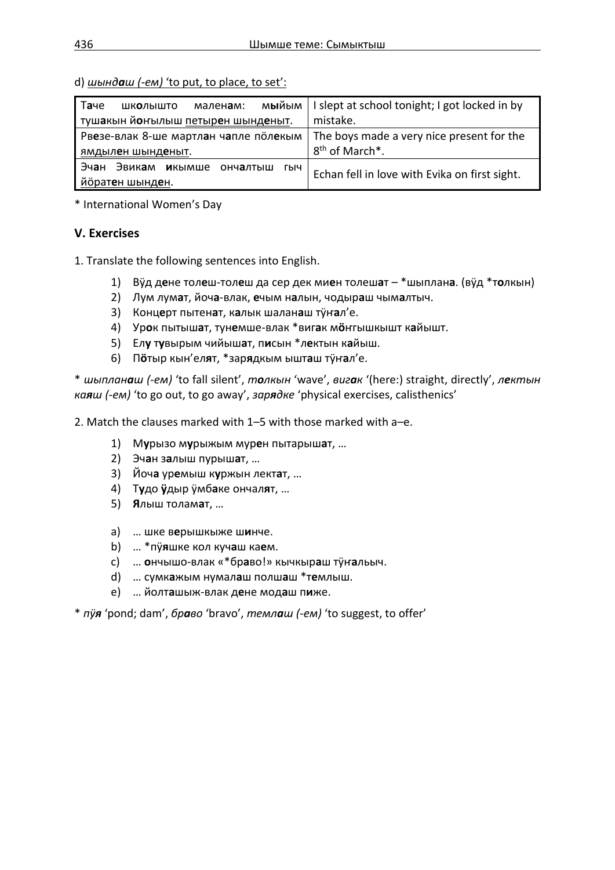d) *шындаш (-ем)* 'to put, to place, to set':

| мыйым<br>Таче<br>ШКОЛЫШТО<br>мален <b>а</b> м:                       | I slept at school tonight; I got locked in by |  |
|----------------------------------------------------------------------|-----------------------------------------------|--|
| түшакын й <b>о</b> нылыш петырен шынденыт.                           | mistake.                                      |  |
| Рвезе-влак 8-ше мартлан чапле полекым                                | The boys made a very nice present for the     |  |
| ямдылен шынденыт.                                                    | 8 <sup>th</sup> of March*.                    |  |
| Эчан Эвикам<br>икымше<br>онч <b>а</b> лтыш<br>гыч<br>йöратен шынден. | Echan fell in love with Evika on first sight. |  |

\* International Women's Day

# **V. Exercises**

1. Translate the following sentences into English.

- 1) Вӱд д**е**не тол**е**ш-тол**е**ш да сер дек ми**е**н толеш**а**т \*шыплан**а**. (вӱд \*т**о**лкын)
- 2) Лум лум**а**т, йоч**а**-влак, **е**чым н**а**лын, чодыр**а**ш чым**а**лтыч.
- 3) Конц**е**рт пытен**а**т, к**а**лык шалан**а**ш тӱҥ**а**л'е.
- 4) Ур**о**к пытыш**а**т, тун**е**мше-влак \*виг**а**к м**ӧ**ҥгышкышт к**а**йышт.
- 5) Ел**у** т**у**вырым чийыш**а**т, п**и**сын \*л**е**ктын к**а**йыш.
- 6) П**ӧ**тыр кын'ел**я**т, \*зар**я**дкым ышт**а**ш тӱҥ**а**л'е.

\* *шыпланаш (-ем)* 'to fall silent', *толкын* 'wave', *вигак* '(here:) straight, directly', *лектын каяш (-ем)* 'to go out, to go away', *зарядке* 'physical exercises, calisthenics'

2. Match the clauses marked with 1–5 with those marked with a–e.

- 1) М**у**рызо м**у**рыжым мур**е**н пытарыш**а**т, …
- 2) Эч**а**н з**а**лыш пурыш**а**т, …
- 3) Йоч**а** ур**е**мыш к**у**ржын лект**а**т, …
- 4) Т**у**до **ӱ**дыр ӱмб**а**ке ончал**я**т, …
- 5) **Я**лыш толам**а**т, …
- a) … шке в**е**рышкыже ш**и**нче.
- b) … \*пӱ**я**шке кол куч**а**ш ка**е**м.
- c) … **о**нчышо-влак «\*бр**а**во!» кычкыр**а**ш тӱҥ**а**льыч.
- d) … сумк**а**жым нумал**а**ш полш**а**ш \*т**е**млыш.
- e) … йолт**а**шыж-влак д**е**не мод**а**ш п**и**же.

\* *пӱя* 'pond; dam', *браво* 'bravo', *темлаш (-ем)* 'to suggest, to offer'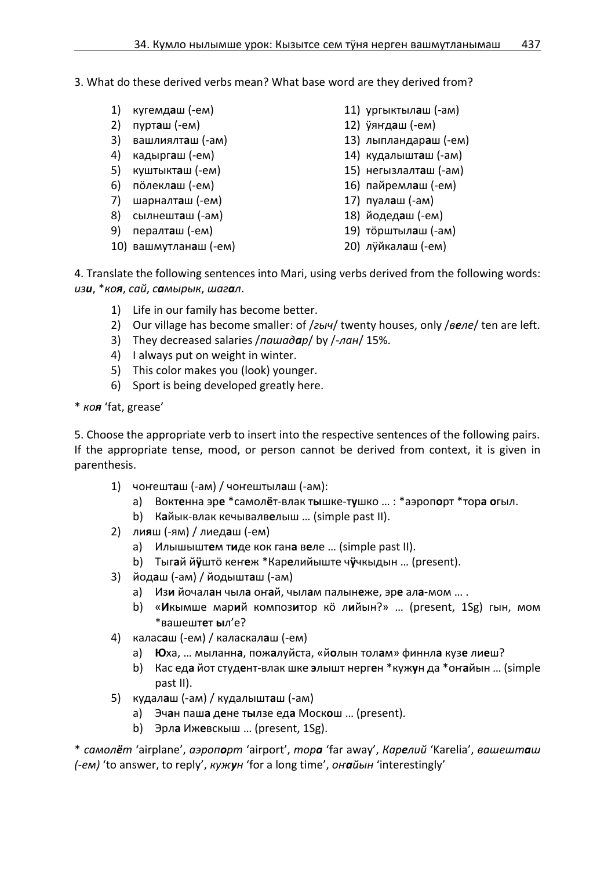- 3. What do these derived verbs mean? What base word are they derived from?
	- 1) кугемд**а**ш (-ем)
	- 2) пурт**а**ш (-ем)
	- 3) вашлиялт**а**ш (-ам)
	- 4) кадырг**а**ш (-ем)
	- 5) куштыкт**а**ш (-ем)
	- 6) пӧлекл**а**ш (-ем)
	- 7) шарналт**а**ш (-ем)
	- 8) сылнешт**а**ш (-ам)
	- 9) пералт**а**ш (-ем)
	- 10) вашмутлан**а**ш (-ем)
- 11) ургыктыл**а**ш (-ам)
- 12) ӱяҥд**а**ш (-ем)
- 13) лыпландар**а**ш (-ем)
- 14) кудалышт**а**ш (-ам)
- 15) негызлалт**а**ш (-ам)
- 16) пайремл**а**ш (-ем)
- 17) пуал**а**ш (-ам)
- 18) йодед**а**ш (-ем)
- 19) тӧрштыл**а**ш (-ам)
- 20) лӱйкал**а**ш (-ем)

4. Translate the following sentences into Mari, using verbs derived from the following words: *изи*, \**коя*, *сай*, *самырык*, *шагал*.

- 1) Life in our family has become better.
- 2) Our village has become smaller: of /*гыч*/ twenty houses, only /*веле*/ ten are left.
- 3) They decreased salaries /*пашадар*/ by /-*лан*/ 15%.
- 4) I always put on weight in winter.
- 5) This color makes you (look) younger.
- 6) Sport is being developed greatly here.
- \* *коя* 'fat, grease'

5. Choose the appropriate verb to insert into the respective sentences of the following pairs. If the appropriate tense, mood, or person cannot be derived from context, it is given in parenthesis.

- 1) чоҥешт**а**ш (-ам) / чоҥештыл**а**ш (-ам):
	- a) Вокт**е**нна эр**е** \*самол**ё**т-влак т**ы**шке-т**у**шко … : \*аэроп**о**рт \*тор**а о**гыл.
	- b) К**а**йык-влак кечывалв**е**лыш … (simple past II).
- 2) ли**я**ш (-ям) / лиед**а**ш (-ем)
	- a) Илышышт**е**м т**и**де кок ган**а** в**е**ле … (simple past II).
	- b) Тыг**а**й й**ӱ**штӧ кеҥ**е**ж \*Кар**е**лийыште ч**ӱ**чкыдын … (present).
- 3) йод**а**ш (-ам) / йодышт**а**ш (-ам)
	- a) Из**и** йочал**а**н чыл**а** оҥ**а**й, чыл**а**м палын**е**же, эр**е** ал**а**-мом … .
	- b) «**И**кымше мар**и**й композ**и**тор кӧ л**и**йын?» … (present, 1Sg) гын, мом \*вашешт**е**т **ы**л'е?
- 4) калас**а**ш (-ем) / каласкал**а**ш (-ем)
	- a) **Ю**ха, … мыланн**а**, пож**а**луйста, «й**о**лын тол**а**м» финнл**а** куз**е** ли**е**ш?
	- b) Кас ед**а** йот студ**е**нт-влак шке **э**лышт нерг**е**н \*куж**у**н да \*оҥ**а**йын … (simple past II).
- 5) кудал**а**ш (-ам) / кудалышт**а**ш (-ам)
	- a) Эч**а**н паш**а** д**е**не т**ы**лзе ед**а** Моск**о**ш … (present).
	- b) Эрл**а** Иж**е**вскыш … (present, 1Sg).

\* *самолёт* 'airplane', *аэропорт* 'airport', *тора* 'far away', *Карелий* 'Karelia', *вашешташ (-ем)* 'to answer, to reply', *кужун* 'for a long time', *оҥайын* 'interestingly'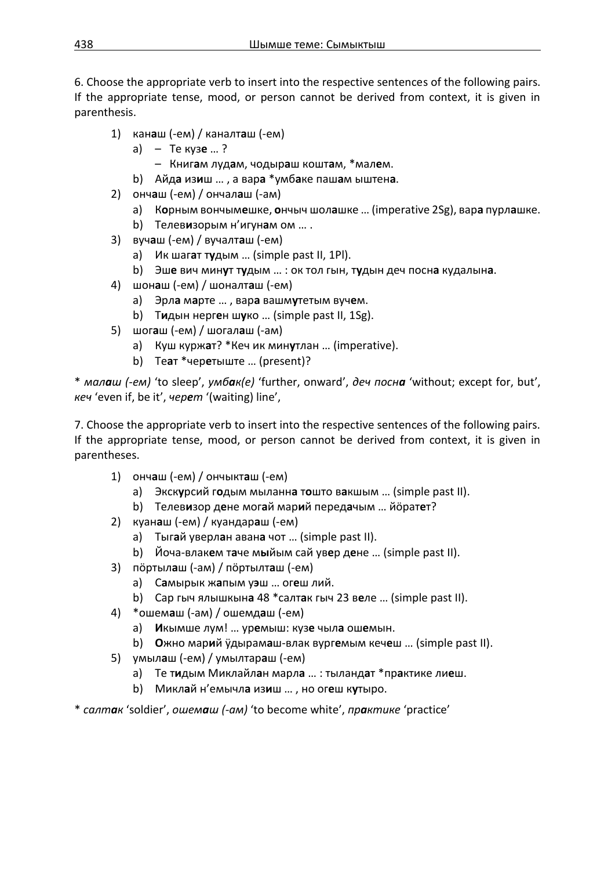6. Choose the appropriate verb to insert into the respective sentences of the following pairs. If the appropriate tense, mood, or person cannot be derived from context, it is given in parenthesis.

- 1) кан**а**ш (-ем) / каналт**а**ш (-ем)
	- a) Те куз**е** … ?
		- Книг**а**м луд**а**м, чодыр**а**ш кошт**а**м, \*мал**е**м.
	- b) Айд**а** из**и**ш … , а вар**а** \*умб**а**ке паш**а**м ыштен**а**.
- 2) онч**а**ш (-ем) / ончал**а**ш (-ам)
	- a) К**о**рным вончым**е**шке, **о**нчыч шол**а**шке … (imperative 2Sg), вар**а** пурл**а**шке.
	- b) Телев**и**зорым н'игун**а**м ом … .
- 3) вуч**а**ш (-ем) / вучалт**а**ш (-ем)
	- a) Ик шаг**а**т т**у**дым … (simple past II, 1Pl).
	- b) Эш**е** вич мин**у**т т**у**дым … : ок тол гын, т**у**дын деч посн**а** кудалын**а**.
- 4) шон**а**ш (-ем) / шоналт**а**ш (-ем)
	- a) Эрл**а** м**а**рте … , вар**а** вашм**у**тетым вуч**е**м.
	- b) Т**и**дын нерг**е**н ш**у**ко … (simple past II, 1Sg).
- 5) шог**а**ш (-ем) / шогал**а**ш (-ам)
	- a) Куш курж**а**т? \*Кеч ик мин**у**тлан … (imperative).
	- b) Те**а**т \*чер**е**тыште … (present)?

\* *малаш (-ем)* 'to sleep', *умбак(е)* 'further, onward', *деч посна* 'without; except for, but', *кеч* 'even if, be it', *черет* '(waiting) line',

7. Choose the appropriate verb to insert into the respective sentences of the following pairs. If the appropriate tense, mood, or person cannot be derived from context, it is given in parentheses.

- 1) онч**а**ш (-ем) / ончыкт**а**ш (-ем)
	- a) Экск**у**рсий г**о**дым мыланн**а** т**о**што в**а**кшым … (simple past II).
	- b) Телев**и**зор д**е**не мог**а**й мар**и**й перед**а**чым … йӧрат**е**т?
- 2) куан**а**ш (-ем) / куандар**а**ш (-ем)
	- a) Тыг**а**й уверл**а**н аван**а** чот … (simple past II).
	- b) Йоча-влак**е**м т**а**че м**ы**йым сай ув**е**р д**е**не … (simple past II).
- 3) пӧртыл**а**ш (-ам) / пӧртылт**а**ш (-ем)
	- a) С**а**мырык ж**а**пым у**э**ш … ог**е**ш лий.
	- b) Сар гыч ялышкын**а** 48 \*салт**а**к гыч 23 в**е**ле … (simple past II).
- 4) \*ошем**а**ш (-ам) / ошемд**а**ш (-ем)
	- a) **И**кымше лум! … ур**е**мыш: куз**е** чыл**а** ош**е**мын.
	- b) **О**жно мар**и**й ӱдырам**а**ш-влак вург**е**мым кеч**е**ш … (simple past II).
- 5) умыл**а**ш (-ем) / умылтар**а**ш (-ем)
	- a) Те т**и**дым Миклайл**а**н марл**а** … : тыланд**а**т \*пр**а**ктике ли**е**ш.
	- b) Микл**а**й н'емычл**а** из**и**ш … , но ог**е**ш к**у**тыро.
- \* *салтак* 'soldier', *ошемаш (-ам)* 'to become white', *практике* 'practice'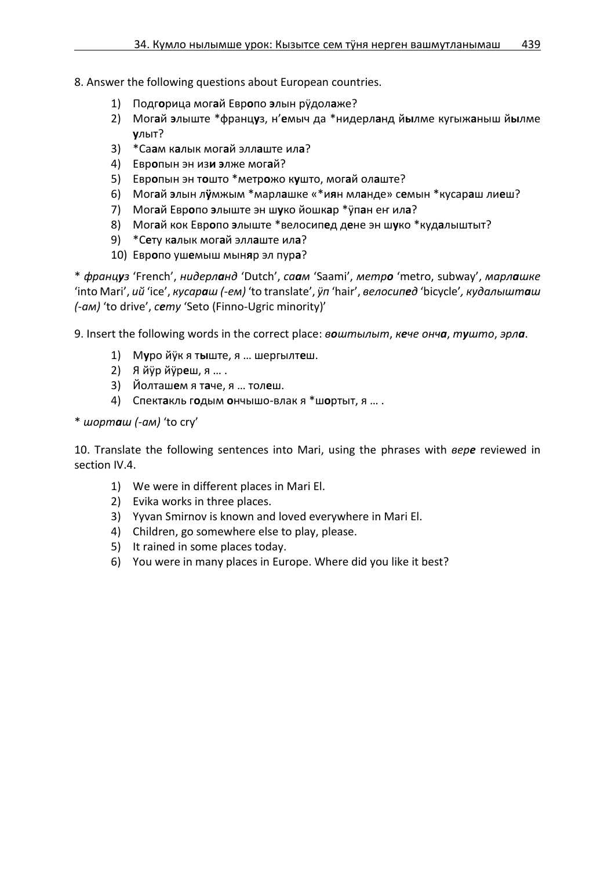- 8. Answer the following questions about European countries.
	- 1) Подг**о**рица мог**а**й Евр**о**по **э**лын рӱдол**а**же?
	- 2) Мог**а**й **э**лыште \*франц**у**з, н'**е**мыч да \*нидерл**а**нд й**ы**лме кугыж**а**ныш й**ы**лме **у**лыт?
	- 3) \*Са**а**м к**а**лык мог**а**й элл**а**ште ил**а**?
	- 4) Евр**о**пын эн из**и э**лже мог**а**й?
	- 5) Евр**о**пын эн т**о**што \*метр**о**жо к**у**што, мог**а**й ол**а**ште?
	- 6) Мог**а**й **э**лын л**ӱ**мжым \*марл**а**шке «\*и**я**н мл**а**нде» с**е**мын \*кусар**а**ш ли**е**ш?
	- 7) Мог**а**й Евр**о**по **э**лыште эн ш**у**ко йошк**а**р \*ӱп**а**н еҥ ил**а**?
	- 8) Мог**а**й кок Евр**о**по **э**лыште \*велосип**е**д д**е**не эн ш**у**ко \*куд**а**лыштыт?
	- 9) \*С**е**ту к**а**лык мог**а**й элл**а**ште ил**а**?
	- 10) Евр**о**по уш**е**мыш мын**я**р эл пур**а**?

\* *француз* 'French', *нидерланд* 'Dutch', *саам* 'Saami', *метро* 'metro, subway', *марлашке* 'into Mari', *ий* 'ice', *кусараш (-ем)* 'to translate', *ӱп* 'hair', *велосипед* 'bicycle'*, кудалышташ (-ам)* 'to drive', *сету* 'Seto (Finno-Ugric minority)'

9. Insert the following words in the correct place: *воштылыт*, *кече онча*, *тушто*, *эрла*.

- 1) М**у**ро йӱк я т**ы**ште, я … шергылт**е**ш.
- 2) Я йӱр йӱр**е**ш, я … .
- 3) Йолташ**е**м я т**а**че, я … тол**е**ш.
- 4) Спект**а**кль г**о**дым **о**нчышо-влак я \*ш**о**ртыт, я … .
- \* *шорташ (-ам)* 'to cry'

10. Translate the following sentences into Mari, using the phrases with *вере* reviewed in section IV.4.

- 1) We were in different places in Mari El.
- 2) Evika works in three places.
- 3) Yyvan Smirnov is known and loved everywhere in Mari El.
- 4) Children, go somewhere else to play, please.
- 5) It rained in some places today.
- 6) You were in many places in Europe. Where did you like it best?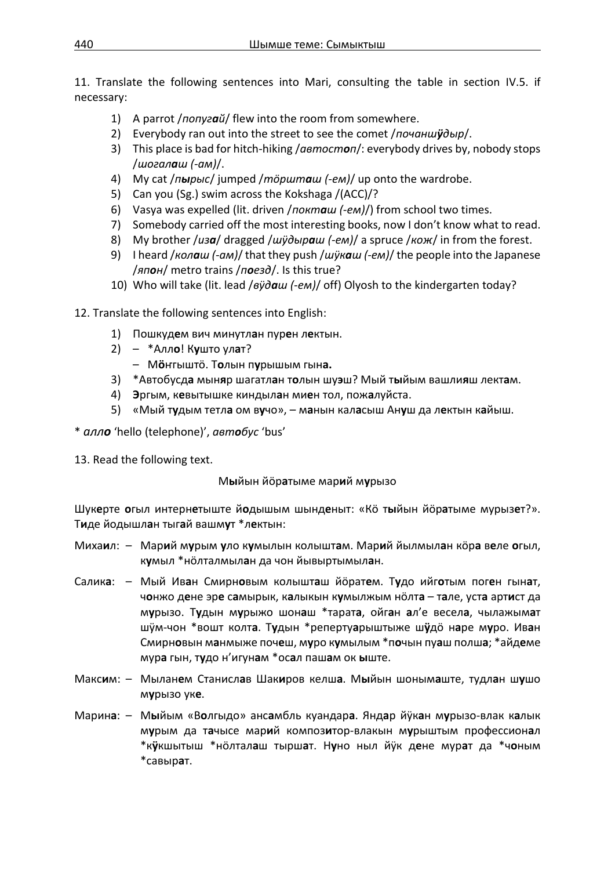11. Translate the following sentences into Mari, consulting the table in section IV.5. if necessary:

- 1) A parrot /*попугай*/ flew into the room from somewhere.
- 2) Everybody ran out into the street to see the comet /*почаншӱдыр*/.
- 3) This place is bad for hitch-hiking /*автостоп*/: everybody drives by, nobody stops /*шогалаш (-ам)*/.
- 4) My cat /*пырыс*/ jumped /*тӧршташ (-ем)*/ up onto the wardrobe.
- 5) Can you (Sg.) swim across the Kokshaga /(ACC)/?
- 6) Vasya was expelled (lit. driven /*покташ (-ем)*/) from school two times.
- 7) Somebody carried off the most interesting books, now I don't know what to read.
- 8) My brother /*иза*/ dragged /*шӱдыраш (-ем)*/ a spruce /*кож*/ in from the forest.
- 9) I heard /*колаш (-ам)*/ that they push /*шӱкаш (-ем)*/ the people into the Japanese /*япон*/ metro trains /*поезд*/. Is this true?
- 10) Who will take (lit. lead /*вÿдаш (-ем)*/ off) Olyosh to the kindergarten today?

12. Translate the following sentences into English:

- 1) Пошкуд**е**м вич минутл**а**н пур**е**н л**е**ктын.
- 2) \*Алл**о**! К**у**што ул**а**т?
	- М**ӧ**ҥгыштӧ. Т**о**лын п**у**рышым гын**а.**
- 3) \*Автобусд**а** мын**я**р шагатл**а**н т**о**лын шу**э**ш? Мый т**ы**йым вашли**я**ш лект**а**м.
- 4) **Э**ргым, к**е**вытышке киндыл**а**н ми**е**н тол, пож**а**луйста.
- 5) «Мый т**у**дым тетл**а** ом в**у**чо», м**а**нын кал**а**сыш Ан**у**ш да л**е**ктын к**а**йыш.
- \* *алло* 'hello (telephone)', *автобус* 'bus'
- 13. Read the following text.

М**ы**йын йӧр**а**тыме мар**и**й м**у**рызо

Шук**е**рте **о**гыл интерн**е**тыште й**о**дышым шынд**е**ныт: «Кӧ т**ы**йын йӧр**а**тыме мурыз**е**т?». Т**и**де йодышл**а**н тыг**а**й вашм**у**т \*л**е**ктын:

- Миха**и**л: Мар**и**й м**у**рым **у**ло к**у**мылын колышт**а**м. Мар**и**й йылмыл**а**н кӧр**а** в**е**ле **о**гыл, к**у**мыл \*нӧлталмыл**а**н да чон йывыртымыл**а**н.
- Салик**а**: Мый Ив**а**н Смирн**о**вым колышт**а**ш йӧрат**е**м. Т**у**до ийг**о**тым пог**е**н гын**а**т, ч**о**нжо д**е**не эр**е** с**а**мырык, к**а**лыкын к**у**мылжым нӧлт**а** – т**а**ле, уст**а** арт**и**ст да м**у**рызо. Т**у**дын м**у**рыжо шон**а**ш \*тарат**а**, ойг**а**н **а**л'е весел**а**, чылажым**а**т шӱм-чон \*вошт колт**а**. Т**у**дын \*реперту**а**рыштыже ш**ӱ**дӧ н**а**ре м**у**ро. Ив**а**н Смирн**о**вын м**а**нмыже поч**е**ш, м**у**ро к**у**мылым \*п**о**чын пу**а**ш полш**а**; \*айд**е**ме мур**а** гын, т**у**до н'игун**а**м \*ос**а**л паш**а**м ок **ы**ште.
- Макс**и**м: Мылан**е**м Станисл**а**в Шак**и**ров келш**а**. М**ы**йын шоным**а**ште, тудл**а**н ш**у**шо м**у**рызо ук**е**.
- Марин**а**: М**ы**йым «В**о**лгыдо» анс**а**мбль куандар**а**. Янд**а**р йӱк**а**н м**у**рызо-влак к**а**лык м**у**рым да т**а**чысе мар**и**й композ**и**тор-влакын м**у**рыштым профессион**а**л \*к**ӱ**кшытыш \*нӧлтал**а**ш тырш**а**т. Н**у**но ныл йӱк д**е**не мур**а**т да \*ч**о**ным \*савыр**а**т.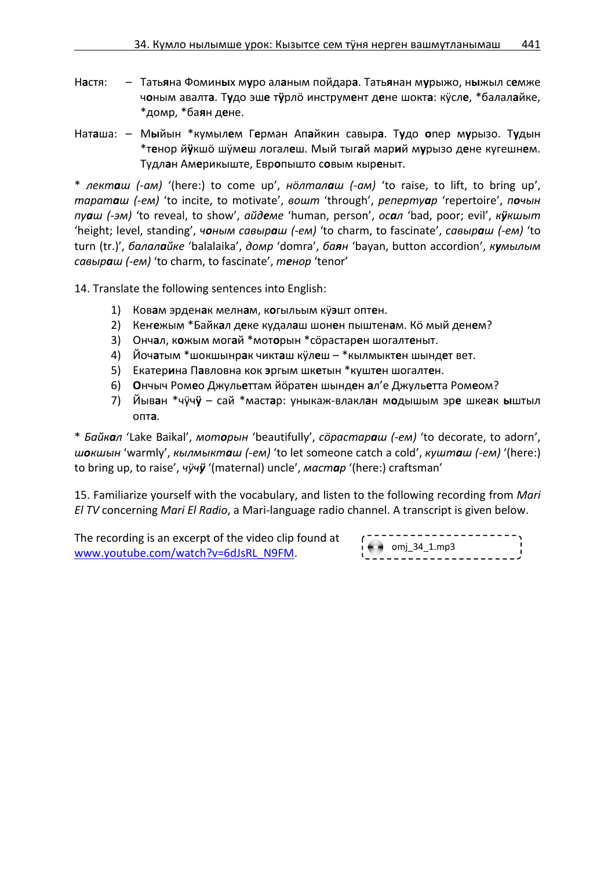- Н**а**стя: Тать**я**на Фомин**ы**х м**у**ро ал**а**ным пойдар**а**. Тать**я**нан м**у**рыжо, н**ы**жыл с**е**мже ч**о**ным авалт**а**. Т**у**до эш**е** т**ӱ**рлӧ инструм**е**нт д**е**не шокт**а**: кӱсл**е**, \*балал**а**йке, \*домр, \*ба**я**н д**е**не.
- Нат**а**ша: М**ы**йын \*кумыл**е**м Г**е**рман Ап**а**йкин савыр**а**. Т**у**до **о**пер м**у**рызо. Т**у**дын \*т**е**нор й**ӱ**кшӧ шӱм**е**ш логал**е**ш. Мый тыг**а**й мар**и**й м**у**рызо д**е**не кугешн**е**м. Тудл**а**н Ам**е**рикыште, Евр**о**пышто с**о**вым кыр**е**ныт.

\* *лекташ (-ам)* '(here:) to come up', *нӧлталаш (-ам)* 'to raise, to lift, to bring up', *тараташ (-ем)* 'to incite, to motivate', *вошт* 'through', *репертуар* 'repertoire', *почын пуаш (-эм)* 'to reveal, to show', *айдеме* 'human, person', *осал* 'bad, poor; evil', *кӱкшыт* 'height; level, standing', *чоным савыраш (-ем)* 'to charm, to fascinate', *савыраш (-ем)* 'to turn (tr.)', *балалайке* 'balalaika', *домр* 'domra', *баян* 'bayan, button accordion', *кумылым савыраш (-ем)* 'to charm, to fascinate', *тенор* 'tenor'

14. Translate the following sentences into English:

- 1) Ков**а**м эрден**а**к мелн**а**м, к**о**гыльым кӱ**э**шт опт**е**н.
- 2) Кеҥ**е**жым \*Байк**а**л д**е**ке кудал**а**ш шон**е**н пыштен**а**м. Кӧ мый ден**е**м?
- 3) Онч**а**л, к**о**жым мог**а**й \*мот**о**рын \*сӧрастар**е**н шогалт**е**ныт.
- 4) Йоч**а**тым \*шокшынр**а**к чикт**а**ш кӱл**е**ш \*кылмыкт**е**н шынд**е**т вет.
- 5) Екатер**и**на П**а**вловна кок **э**ргым шк**е**тын \*кушт**е**н шогалт**е**н.
- 6) **О**нчыч Ром**е**о Джуль**е**ттам йӧрат**е**н шынд**е**н **а**л'е Джуль**е**тта Ром**е**ом?
- 7) Йыв**а**н \*чӱч**ӱ** сай \*маст**а**р: уныкаж-влакл**а**н м**о**дышым эр**е** шке**а**к **ы**штыл опт**а**.

\* *Байкал* 'Lake Baikal', *моторын* 'beautifully', *сӧрастараш (-ем)* 'to decorate, to adorn', *шокшын* 'warmly', *кылмыкташ (-ем)* 'to let someone catch a cold', *кушташ (-ем)* '(here:) to bring up, to raise', *чӱчӱ* '(maternal) uncle', *мастар* '(here:) craftsman'

15. Familiarize yourself with the vocabulary, and listen to the following recording from *Mari El TV* concerning *Mari El Radio*, a Mari-language radio channel. A transcript is given below.

The recording is an excerpt of the video clip found at [www.youtube.com/watch?v=6dJsRL\\_N9FM.](http://www.youtube.com/watch?v=6dJsRL_N9FM)

| $\sim$<br>omj_34_1.mp3 |  |
|------------------------|--|
| ------                 |  |